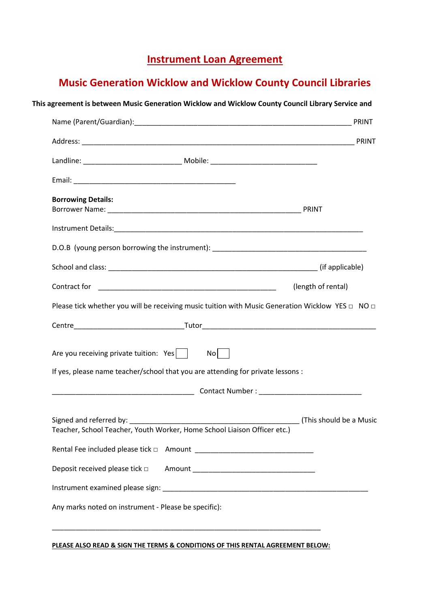## **Instrument Loan Agreement**

# **Music Generation Wicklow and Wicklow County Council Libraries**

| <b>Borrowing Details:</b>                                                                                                   |                                                                                                            |
|-----------------------------------------------------------------------------------------------------------------------------|------------------------------------------------------------------------------------------------------------|
|                                                                                                                             |                                                                                                            |
|                                                                                                                             | D.O.B (young person borrowing the instrument): __________________________________                          |
|                                                                                                                             |                                                                                                            |
|                                                                                                                             | (length of rental)                                                                                         |
|                                                                                                                             | Please tick whether you will be receiving music tuition with Music Generation Wicklow YES $\Box$ NO $\Box$ |
|                                                                                                                             |                                                                                                            |
| Are you receiving private tuition: Yes  <br>If yes, please name teacher/school that you are attending for private lessons : | No                                                                                                         |
|                                                                                                                             |                                                                                                            |
| Teacher, School Teacher, Youth Worker, Home School Liaison Officer etc.)                                                    | (This should be a Music                                                                                    |
|                                                                                                                             |                                                                                                            |
|                                                                                                                             |                                                                                                            |
|                                                                                                                             |                                                                                                            |
|                                                                                                                             | Any marks noted on instrument - Please be specific):                                                       |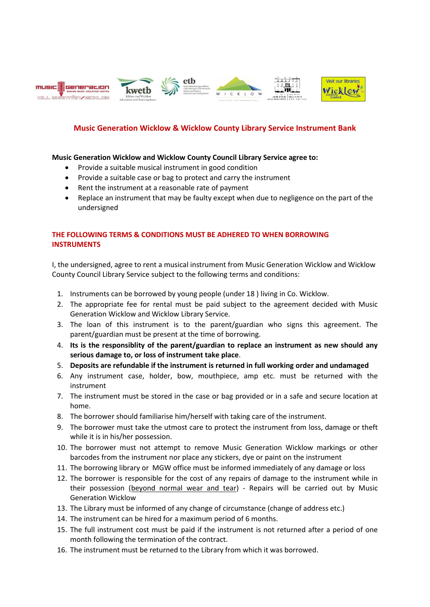

#### **Music Generation Wicklow & Wicklow County Library Service Instrument Bank**

#### **Music Generation Wicklow and Wicklow County Council Library Service agree to:**

- Provide a suitable musical instrument in good condition
- Provide a suitable case or bag to protect and carry the instrument
- Rent the instrument at a reasonable rate of payment
- Replace an instrument that may be faulty except when due to negligence on the part of the undersigned

### **THE FOLLOWING TERMS & CONDITIONS MUST BE ADHERED TO WHEN BORROWING INSTRUMENTS**

I, the undersigned, agree to rent a musical instrument from Music Generation Wicklow and Wicklow County Council Library Service subject to the following terms and conditions:

- 1. Instruments can be borrowed by young people (under 18 ) living in Co. Wicklow.
- 2. The appropriate fee for rental must be paid subject to the agreement decided with Music Generation Wicklow and Wicklow Library Service.
- 3. The loan of this instrument is to the parent/guardian who signs this agreement. The parent/guardian must be present at the time of borrowing.
- 4. **Its is the responsiblity of the parent/guardian to replace an instrument as new should any serious damage to, or loss of instrument take place**.
- 5. **Deposits are refundable if the instrument is returned in full working order and undamaged**
- 6. Any instrument case, holder, bow, mouthpiece, amp etc. must be returned with the instrument
- 7. The instrument must be stored in the case or bag provided or in a safe and secure location at home.
- 8. The borrower should familiarise him/herself with taking care of the instrument.
- 9. The borrower must take the utmost care to protect the instrument from loss, damage or theft while it is in his/her possession.
- 10. The borrower must not attempt to remove Music Generation Wicklow markings or other barcodes from the instrument nor place any stickers, dye or paint on the instrument
- 11. The borrowing library or MGW office must be informed immediately of any damage or loss
- 12. The borrower is responsible for the cost of any repairs of damage to the instrument while in their possession (beyond normal wear and tear) - Repairs will be carried out by Music Generation Wicklow
- 13. The Library must be informed of any change of circumstance (change of address etc.)
- 14. The instrument can be hired for a maximum period of 6 months.
- 15. The full instrument cost must be paid if the instrument is not returned after a period of one month following the termination of the contract.
- 16. The instrument must be returned to the Library from which it was borrowed.